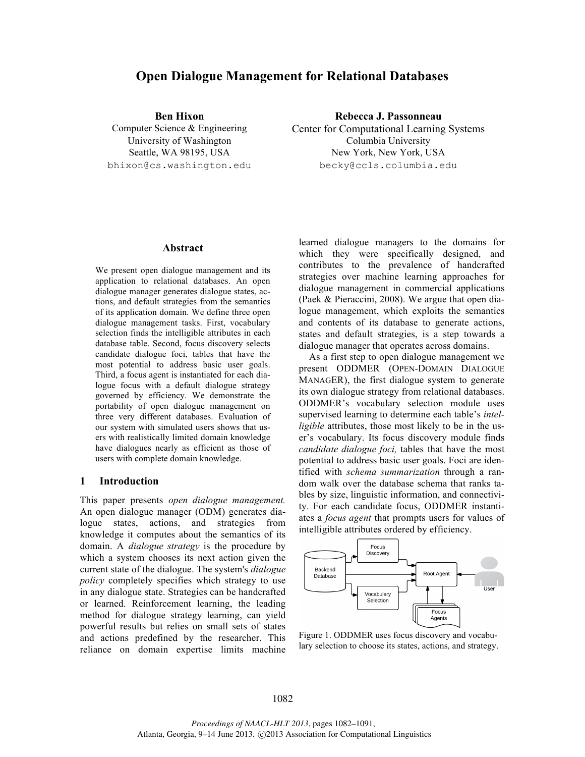# **Open Dialogue Management for Relational Databases**

bhixon@cs.washington.edu becky@ccls.columbia.edu

**Ben Hixon Rebecca J. Passonneau** Computer Science & Engineering Center for Computational Learning Systems University of Washington Columbia University Seattle, WA 98195, USA New York, New York, USA

**Abstract**

We present open dialogue management and its application to relational databases. An open dialogue manager generates dialogue states, actions, and default strategies from the semantics of its application domain. We define three open dialogue management tasks. First, vocabulary selection finds the intelligible attributes in each database table. Second, focus discovery selects candidate dialogue foci, tables that have the most potential to address basic user goals. Third, a focus agent is instantiated for each dialogue focus with a default dialogue strategy governed by efficiency. We demonstrate the portability of open dialogue management on three very different databases. Evaluation of our system with simulated users shows that users with realistically limited domain knowledge have dialogues nearly as efficient as those of users with complete domain knowledge.

#### **1 Introduction**

This paper presents *open dialogue management.* An open dialogue manager (ODM) generates dialogue states, actions, and strategies from knowledge it computes about the semantics of its domain. A *dialogue strategy* is the procedure by which a system chooses its next action given the current state of the dialogue. The system's *dialogue policy* completely specifies which strategy to use in any dialogue state. Strategies can be handcrafted or learned. Reinforcement learning, the leading method for dialogue strategy learning, can yield powerful results but relies on small sets of states and actions predefined by the researcher. This reliance on domain expertise limits machine learned dialogue managers to the domains for which they were specifically designed, and contributes to the prevalence of handcrafted strategies over machine learning approaches for dialogue management in commercial applications (Paek & Pieraccini, 2008). We argue that open dialogue management, which exploits the semantics and contents of its database to generate actions, states and default strategies, is a step towards a dialogue manager that operates across domains.

As a first step to open dialogue management we present ODDMER (OPEN-DOMAIN DIALOGUE MANAGER), the first dialogue system to generate its own dialogue strategy from relational databases. ODDMER's vocabulary selection module uses supervised learning to determine each table's *intelligible* attributes, those most likely to be in the user's vocabulary. Its focus discovery module finds *candidate dialogue foci,* tables that have the most potential to address basic user goals. Foci are identified with *schema summarization* through a random walk over the database schema that ranks tables by size, linguistic information, and connectivity. For each candidate focus, ODDMER instantiates a *focus agent* that prompts users for values of intelligible attributes ordered by efficiency.



Figure 1. ODDMER uses focus discovery and vocabulary selection to choose its states, actions, and strategy.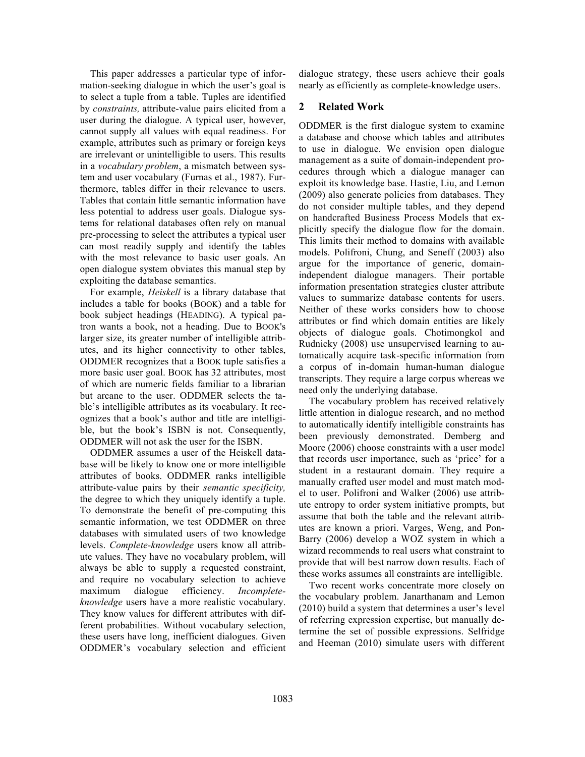This paper addresses a particular type of information-seeking dialogue in which the user's goal is to select a tuple from a table. Tuples are identified by *constraints,* attribute-value pairs elicited from a user during the dialogue. A typical user, however, cannot supply all values with equal readiness. For example, attributes such as primary or foreign keys are irrelevant or unintelligible to users. This results in a *vocabulary problem*, a mismatch between system and user vocabulary (Furnas et al., 1987). Furthermore, tables differ in their relevance to users. Tables that contain little semantic information have less potential to address user goals. Dialogue systems for relational databases often rely on manual pre-processing to select the attributes a typical user can most readily supply and identify the tables with the most relevance to basic user goals. An open dialogue system obviates this manual step by exploiting the database semantics.

For example, *Heiskell* is a library database that includes a table for books (BOOK) and a table for book subject headings (HEADING). A typical patron wants a book, not a heading. Due to BOOK's larger size, its greater number of intelligible attributes, and its higher connectivity to other tables, ODDMER recognizes that a BOOK tuple satisfies a more basic user goal. BOOK has 32 attributes, most of which are numeric fields familiar to a librarian but arcane to the user. ODDMER selects the table's intelligible attributes as its vocabulary. It recognizes that a book's author and title are intelligible, but the book's ISBN is not. Consequently, ODDMER will not ask the user for the ISBN.

ODDMER assumes a user of the Heiskell database will be likely to know one or more intelligible attributes of books. ODDMER ranks intelligible attribute-value pairs by their *semantic specificity,*  the degree to which they uniquely identify a tuple. To demonstrate the benefit of pre-computing this semantic information, we test ODDMER on three databases with simulated users of two knowledge levels. *Complete-knowledge* users know all attribute values. They have no vocabulary problem, will always be able to supply a requested constraint, and require no vocabulary selection to achieve maximum dialogue efficiency. *Incompleteknowledge* users have a more realistic vocabulary. They know values for different attributes with different probabilities. Without vocabulary selection, these users have long, inefficient dialogues. Given ODDMER's vocabulary selection and efficient dialogue strategy, these users achieve their goals nearly as efficiently as complete-knowledge users.

## **2 Related Work**

ODDMER is the first dialogue system to examine a database and choose which tables and attributes to use in dialogue. We envision open dialogue management as a suite of domain-independent procedures through which a dialogue manager can exploit its knowledge base. Hastie, Liu, and Lemon (2009) also generate policies from databases. They do not consider multiple tables, and they depend on handcrafted Business Process Models that explicitly specify the dialogue flow for the domain. This limits their method to domains with available models. Polifroni, Chung, and Seneff (2003) also argue for the importance of generic, domainindependent dialogue managers. Their portable information presentation strategies cluster attribute values to summarize database contents for users. Neither of these works considers how to choose attributes or find which domain entities are likely objects of dialogue goals. Chotimongkol and Rudnicky (2008) use unsupervised learning to automatically acquire task-specific information from a corpus of in-domain human-human dialogue transcripts. They require a large corpus whereas we need only the underlying database.

The vocabulary problem has received relatively little attention in dialogue research, and no method to automatically identify intelligible constraints has been previously demonstrated. Demberg and Moore (2006) choose constraints with a user model that records user importance, such as 'price' for a student in a restaurant domain. They require a manually crafted user model and must match model to user. Polifroni and Walker (2006) use attribute entropy to order system initiative prompts, but assume that both the table and the relevant attributes are known a priori. Varges, Weng, and Pon-Barry (2006) develop a WOZ system in which a wizard recommends to real users what constraint to provide that will best narrow down results. Each of these works assumes all constraints are intelligible.

Two recent works concentrate more closely on the vocabulary problem. Janarthanam and Lemon (2010) build a system that determines a user's level of referring expression expertise, but manually determine the set of possible expressions. Selfridge and Heeman (2010) simulate users with different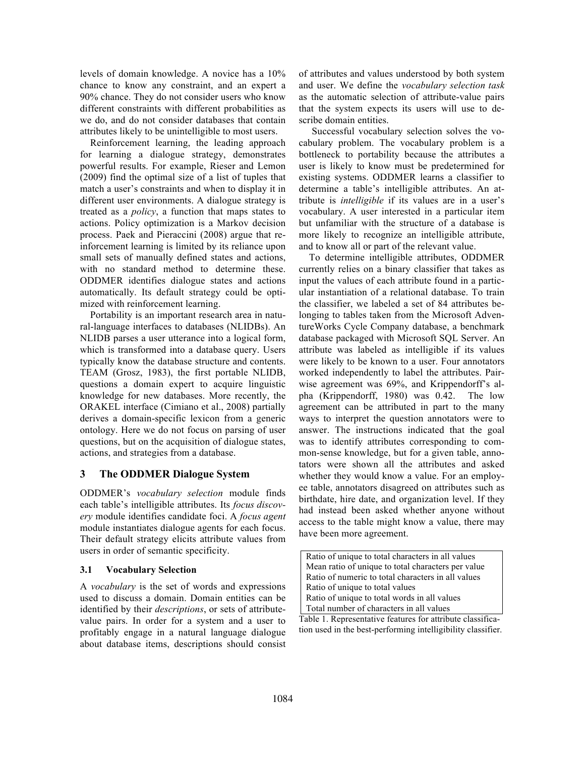levels of domain knowledge. A novice has a 10% chance to know any constraint, and an expert a 90% chance. They do not consider users who know different constraints with different probabilities as we do, and do not consider databases that contain attributes likely to be unintelligible to most users.

Reinforcement learning, the leading approach for learning a dialogue strategy, demonstrates powerful results. For example, Rieser and Lemon (2009) find the optimal size of a list of tuples that match a user's constraints and when to display it in different user environments. A dialogue strategy is treated as a *policy*, a function that maps states to actions. Policy optimization is a Markov decision process. Paek and Pieraccini (2008) argue that reinforcement learning is limited by its reliance upon small sets of manually defined states and actions, with no standard method to determine these. ODDMER identifies dialogue states and actions automatically. Its default strategy could be optimized with reinforcement learning.

Portability is an important research area in natural-language interfaces to databases (NLIDBs). An NLIDB parses a user utterance into a logical form, which is transformed into a database query. Users typically know the database structure and contents. TEAM (Grosz, 1983), the first portable NLIDB, questions a domain expert to acquire linguistic knowledge for new databases. More recently, the ORAKEL interface (Cimiano et al., 2008) partially derives a domain-specific lexicon from a generic ontology. Here we do not focus on parsing of user questions, but on the acquisition of dialogue states, actions, and strategies from a database.

### **3 The ODDMER Dialogue System**

ODDMER's *vocabulary selection* module finds each table's intelligible attributes. Its *focus discovery* module identifies candidate foci. A *focus agent* module instantiates dialogue agents for each focus. Their default strategy elicits attribute values from users in order of semantic specificity.

### **3.1 Vocabulary Selection**

A *vocabulary* is the set of words and expressions used to discuss a domain. Domain entities can be identified by their *descriptions*, or sets of attributevalue pairs. In order for a system and a user to profitably engage in a natural language dialogue about database items, descriptions should consist of attributes and values understood by both system and user. We define the *vocabulary selection task* as the automatic selection of attribute-value pairs that the system expects its users will use to describe domain entities.

Successful vocabulary selection solves the vocabulary problem. The vocabulary problem is a bottleneck to portability because the attributes a user is likely to know must be predetermined for existing systems. ODDMER learns a classifier to determine a table's intelligible attributes. An attribute is *intelligible* if its values are in a user's vocabulary. A user interested in a particular item but unfamiliar with the structure of a database is more likely to recognize an intelligible attribute, and to know all or part of the relevant value.

To determine intelligible attributes, ODDMER currently relies on a binary classifier that takes as input the values of each attribute found in a particular instantiation of a relational database. To train the classifier, we labeled a set of 84 attributes belonging to tables taken from the Microsoft AdventureWorks Cycle Company database, a benchmark database packaged with Microsoft SQL Server. An attribute was labeled as intelligible if its values were likely to be known to a user. Four annotators worked independently to label the attributes. Pairwise agreement was 69%, and Krippendorff's alpha (Krippendorff, 1980) was 0.42. The low agreement can be attributed in part to the many ways to interpret the question annotators were to answer. The instructions indicated that the goal was to identify attributes corresponding to common-sense knowledge, but for a given table, annotators were shown all the attributes and asked whether they would know a value. For an employee table, annotators disagreed on attributes such as birthdate, hire date, and organization level. If they had instead been asked whether anyone without access to the table might know a value, there may have been more agreement.

Ratio of unique to total characters in all values Mean ratio of unique to total characters per value Ratio of numeric to total characters in all values Ratio of unique to total values Ratio of unique to total words in all values Total number of characters in all values

Table 1. Representative features for attribute classification used in the best-performing intelligibility classifier.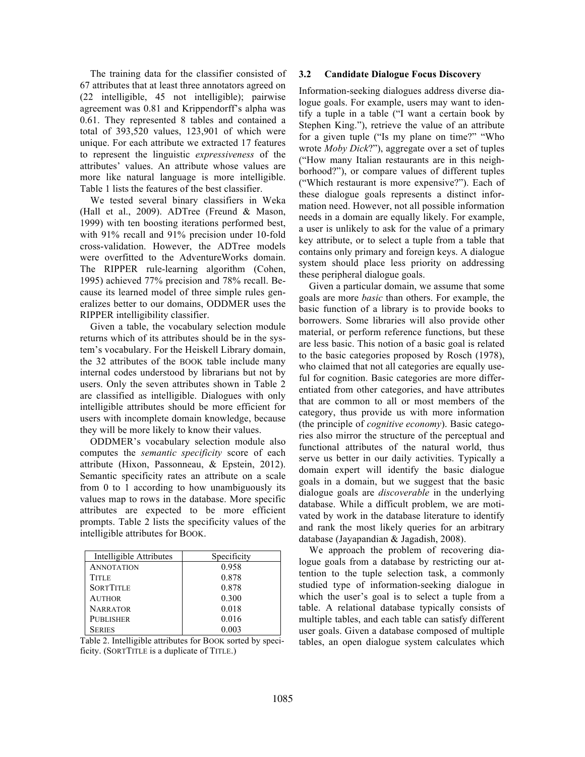The training data for the classifier consisted of 67 attributes that at least three annotators agreed on (22 intelligible, 45 not intelligible); pairwise agreement was 0.81 and Krippendorff's alpha was 0.61. They represented 8 tables and contained a total of 393,520 values, 123,901 of which were unique. For each attribute we extracted 17 features to represent the linguistic *expressiveness* of the attributes' values. An attribute whose values are more like natural language is more intelligible. Table 1 lists the features of the best classifier.

We tested several binary classifiers in Weka (Hall et al., 2009). ADTree (Freund & Mason, 1999) with ten boosting iterations performed best, with 91% recall and 91% precision under 10-fold cross-validation. However, the ADTree models were overfitted to the AdventureWorks domain. The RIPPER rule-learning algorithm (Cohen, 1995) achieved 77% precision and 78% recall. Because its learned model of three simple rules generalizes better to our domains, ODDMER uses the RIPPER intelligibility classifier.

Given a table, the vocabulary selection module returns which of its attributes should be in the system's vocabulary. For the Heiskell Library domain, the 32 attributes of the BOOK table include many internal codes understood by librarians but not by users. Only the seven attributes shown in Table 2 are classified as intelligible. Dialogues with only intelligible attributes should be more efficient for users with incomplete domain knowledge, because they will be more likely to know their values.

ODDMER's vocabulary selection module also computes the *semantic specificity* score of each attribute (Hixon, Passonneau, & Epstein, 2012). Semantic specificity rates an attribute on a scale from 0 to 1 according to how unambiguously its values map to rows in the database. More specific attributes are expected to be more efficient prompts. Table 2 lists the specificity values of the intelligible attributes for BOOK.

| Intelligible Attributes | Specificity |
|-------------------------|-------------|
| <b>ANNOTATION</b>       | 0.958       |
| <b>TITLE</b>            | 0.878       |
| <b>SORTTITLE</b>        | 0.878       |
| <b>AUTHOR</b>           | 0.300       |
| <b>NARRATOR</b>         | 0.018       |
| <b>PUBLISHER</b>        | 0.016       |
| SERIES                  | 0.003       |

Table 2. Intelligible attributes for BOOK sorted by specificity. (SORTTITLE is a duplicate of TITLE.)

#### **3.2 Candidate Dialogue Focus Discovery**

Information-seeking dialogues address diverse dialogue goals. For example, users may want to identify a tuple in a table ("I want a certain book by Stephen King."), retrieve the value of an attribute for a given tuple ("Is my plane on time?" "Who wrote *Moby Dick*?"), aggregate over a set of tuples ("How many Italian restaurants are in this neighborhood?"), or compare values of different tuples ("Which restaurant is more expensive?"). Each of these dialogue goals represents a distinct information need. However, not all possible information needs in a domain are equally likely. For example, a user is unlikely to ask for the value of a primary key attribute, or to select a tuple from a table that contains only primary and foreign keys. A dialogue system should place less priority on addressing these peripheral dialogue goals.

Given a particular domain, we assume that some goals are more *basic* than others. For example, the basic function of a library is to provide books to borrowers. Some libraries will also provide other material, or perform reference functions, but these are less basic. This notion of a basic goal is related to the basic categories proposed by Rosch (1978), who claimed that not all categories are equally useful for cognition. Basic categories are more differentiated from other categories, and have attributes that are common to all or most members of the category, thus provide us with more information (the principle of *cognitive economy*). Basic categories also mirror the structure of the perceptual and functional attributes of the natural world, thus serve us better in our daily activities. Typically a domain expert will identify the basic dialogue goals in a domain, but we suggest that the basic dialogue goals are *discoverable* in the underlying database. While a difficult problem, we are motivated by work in the database literature to identify and rank the most likely queries for an arbitrary database (Jayapandian & Jagadish, 2008).

We approach the problem of recovering dialogue goals from a database by restricting our attention to the tuple selection task, a commonly studied type of information-seeking dialogue in which the user's goal is to select a tuple from a table. A relational database typically consists of multiple tables, and each table can satisfy different user goals. Given a database composed of multiple tables, an open dialogue system calculates which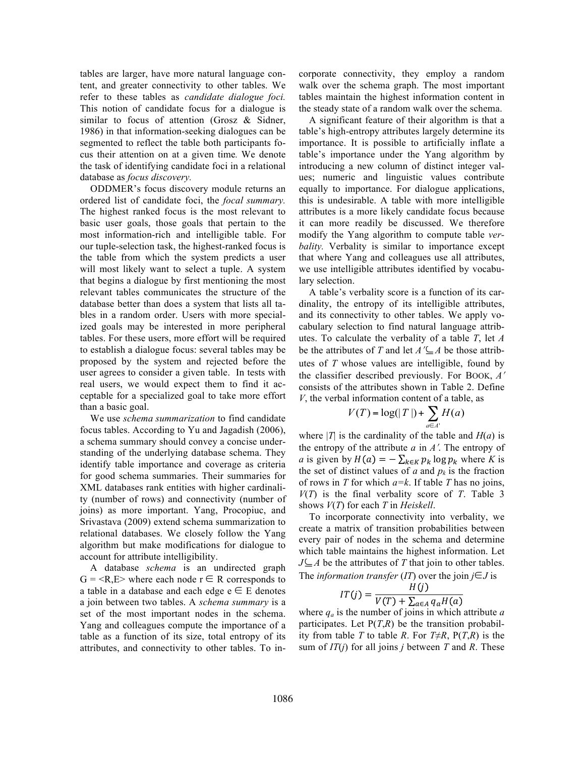tables are larger, have more natural language content, and greater connectivity to other tables. We refer to these tables as *candidate dialogue foci.*  This notion of candidate focus for a dialogue is similar to focus of attention (Grosz & Sidner, 1986) in that information-seeking dialogues can be segmented to reflect the table both participants focus their attention on at a given time*.* We denote the task of identifying candidate foci in a relational database as *focus discovery.*

ODDMER's focus discovery module returns an ordered list of candidate foci, the *focal summary.*  The highest ranked focus is the most relevant to basic user goals, those goals that pertain to the most information-rich and intelligible table. For our tuple-selection task, the highest-ranked focus is the table from which the system predicts a user will most likely want to select a tuple. A system that begins a dialogue by first mentioning the most relevant tables communicates the structure of the database better than does a system that lists all tables in a random order. Users with more specialized goals may be interested in more peripheral tables. For these users, more effort will be required to establish a dialogue focus: several tables may be proposed by the system and rejected before the user agrees to consider a given table. In tests with real users, we would expect them to find it acceptable for a specialized goal to take more effort than a basic goal.

We use *schema summarization* to find candidate focus tables. According to Yu and Jagadish (2006), a schema summary should convey a concise understanding of the underlying database schema. They identify table importance and coverage as criteria for good schema summaries. Their summaries for XML databases rank entities with higher cardinality (number of rows) and connectivity (number of joins) as more important. Yang, Procopiuc, and Srivastava (2009) extend schema summarization to relational databases. We closely follow the Yang algorithm but make modifications for dialogue to account for attribute intelligibility.

A database *schema* is an undirected graph  $G = \langle R, E \rangle$  where each node  $r \in R$  corresponds to a table in a database and each edge  $e \in E$  denotes a join between two tables. A *schema summary* is a set of the most important nodes in the schema. Yang and colleagues compute the importance of a table as a function of its size, total entropy of its attributes, and connectivity to other tables. To incorporate connectivity, they employ a random walk over the schema graph. The most important tables maintain the highest information content in the steady state of a random walk over the schema.

A significant feature of their algorithm is that a table's high-entropy attributes largely determine its importance. It is possible to artificially inflate a table's importance under the Yang algorithm by introducing a new column of distinct integer values; numeric and linguistic values contribute equally to importance. For dialogue applications, this is undesirable. A table with more intelligible attributes is a more likely candidate focus because it can more readily be discussed. We therefore modify the Yang algorithm to compute table *verbality.* Verbality is similar to importance except that where Yang and colleagues use all attributes, we use intelligible attributes identified by vocabulary selection.

A table's verbality score is a function of its cardinality, the entropy of its intelligible attributes, and its connectivity to other tables. We apply vocabulary selection to find natural language attributes. To calculate the verbality of a table *T*, let *A* be the attributes of *T* and let  $A' \subseteq A$  be those attributes of *T* whose values are intelligible, found by the classifier described previously. For BOOK, *A*<sup>ʹ</sup> consists of the attributes shown in Table 2. Define *V*, the verbal information content of a table, as

$$
V(T) = \log(|T|) + \sum_{a \in A'} H(a)
$$

where  $|T|$  is the cardinality of the table and  $H(a)$  is the entropy of the attribute  $a$  in  $A'$ . The entropy of *a* is given by  $H(a) = -\sum_{k \in K} p_k \log p_k$  where *K* is the set of distinct values of *a* and  $p_k$  is the fraction of rows in *T* for which *a=k*. If table *T* has no joins,  $V(T)$  is the final verbality score of *T*. Table 3 shows *V*(*T*) for each *T* in *Heiskell*.

To incorporate connectivity into verbality, we create a matrix of transition probabilities between every pair of nodes in the schema and determine which table maintains the highest information. Let  $J\subseteq A$  be the attributes of *T* that join to other tables. The *information transfer* (*IT*) over the join  $j \in J$  is

$$
IT(j) = \frac{H(j)}{V(T) + \sum_{a \in A} q_a H(a)}
$$

where *qa* is the number of joins in which attribute *a* participates. Let  $P(T,R)$  be the transition probability from table *T* to table *R*. For  $T \neq R$ ,  $P(T,R)$  is the sum of *IT*(*j*) for all joins *j* between *T* and *R*. These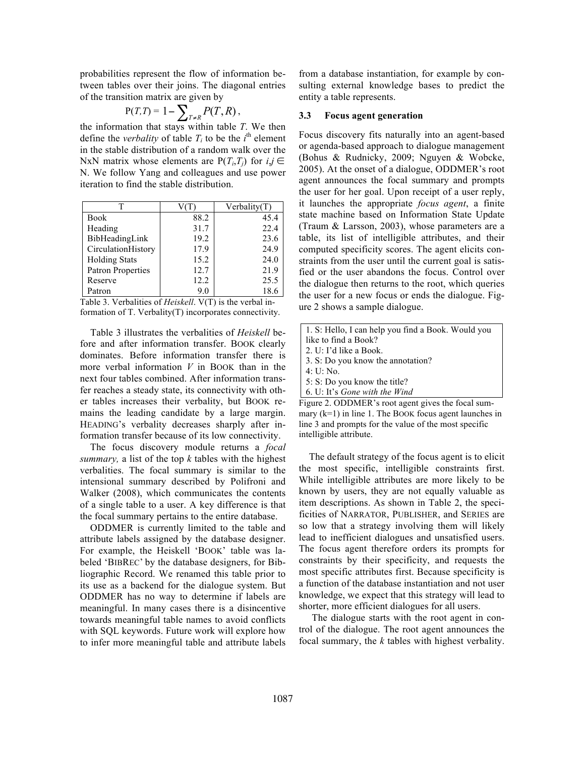probabilities represent the flow of information between tables over their joins. The diagonal entries of the transition matrix are given by

$$
P(T,T) = 1 - \sum_{T \neq R} P(T,R),
$$

the information that stays within table *T*. We then define the *verbality* of table  $T_i$  to be the  $i^{\text{th}}$  element in the stable distribution of a random walk over the NxN matrix whose elements are  $P(T_i, T_j)$  for  $i, j \in$ N. We follow Yang and colleagues and use power iteration to find the stable distribution.

|                      |      | Verbality(T) |
|----------------------|------|--------------|
| Book                 | 88.2 | 45.4         |
| Heading              | 31.7 | 22.4         |
| BibHeadingLink       | 19.2 | 23.6         |
| CirculationHistory   | 17.9 | 24.9         |
| <b>Holding Stats</b> | 15.2 | 24.0         |
| Patron Properties    | 12.7 | 21.9         |
| Reserve              | 12.2 | 25.5         |
| Patron               | 9.0  | 18.6         |

Table 3. Verbalities of *Heiskell*. V(T) is the verbal information of T. Verbality(T) incorporates connectivity.

Table 3 illustrates the verbalities of *Heiskell* before and after information transfer. BOOK clearly dominates. Before information transfer there is more verbal information *V* in BOOK than in the next four tables combined. After information transfer reaches a steady state, its connectivity with other tables increases their verbality, but BOOK remains the leading candidate by a large margin. HEADING's verbality decreases sharply after information transfer because of its low connectivity.

The focus discovery module returns a *focal summary,* a list of the top *k* tables with the highest verbalities. The focal summary is similar to the intensional summary described by Polifroni and Walker (2008), which communicates the contents of a single table to a user. A key difference is that the focal summary pertains to the entire database.

ODDMER is currently limited to the table and attribute labels assigned by the database designer. For example, the Heiskell 'BOOK' table was labeled 'BIBREC' by the database designers, for Bibliographic Record. We renamed this table prior to its use as a backend for the dialogue system. But ODDMER has no way to determine if labels are meaningful. In many cases there is a disincentive towards meaningful table names to avoid conflicts with SQL keywords. Future work will explore how to infer more meaningful table and attribute labels from a database instantiation, for example by consulting external knowledge bases to predict the entity a table represents.

#### **3.3 Focus agent generation**

Focus discovery fits naturally into an agent-based or agenda-based approach to dialogue management (Bohus & Rudnicky, 2009; Nguyen & Wobcke, 2005). At the onset of a dialogue, ODDMER's root agent announces the focal summary and prompts the user for her goal. Upon receipt of a user reply, it launches the appropriate *focus agent*, a finite state machine based on Information State Update (Traum & Larsson, 2003), whose parameters are a table, its list of intelligible attributes, and their computed specificity scores. The agent elicits constraints from the user until the current goal is satisfied or the user abandons the focus. Control over the dialogue then returns to the root, which queries the user for a new focus or ends the dialogue. Figure 2 shows a sample dialogue.

|                                                    | 1. S: Hello, I can help you find a Book. Would you |  |
|----------------------------------------------------|----------------------------------------------------|--|
|                                                    | like to find a Book?                               |  |
|                                                    | 2. U: I'd like a Book.                             |  |
|                                                    | 3. S: Do you know the annotation?                  |  |
|                                                    | $\pm 4$ : U: No.                                   |  |
|                                                    | 5: S: Do you know the title?                       |  |
|                                                    | $\vert$ 6. U: It's Gone with the Wind              |  |
| Figure 2. ODDMER's root agent gives the focal sum- |                                                    |  |
|                                                    |                                                    |  |

mary (k=1) in line 1. The BOOK focus agent launches in line 3 and prompts for the value of the most specific intelligible attribute.

The default strategy of the focus agent is to elicit the most specific, intelligible constraints first. While intelligible attributes are more likely to be known by users, they are not equally valuable as item descriptions. As shown in Table 2, the specificities of NARRATOR, PUBLISHER, and SERIES are so low that a strategy involving them will likely lead to inefficient dialogues and unsatisfied users. The focus agent therefore orders its prompts for constraints by their specificity, and requests the most specific attributes first. Because specificity is a function of the database instantiation and not user knowledge, we expect that this strategy will lead to shorter, more efficient dialogues for all users.

The dialogue starts with the root agent in control of the dialogue. The root agent announces the focal summary, the *k* tables with highest verbality.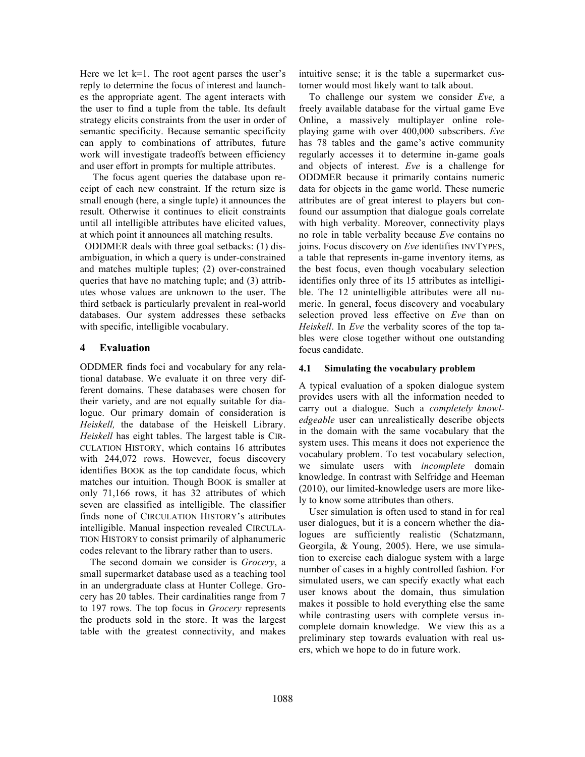Here we let  $k=1$ . The root agent parses the user's reply to determine the focus of interest and launches the appropriate agent. The agent interacts with the user to find a tuple from the table. Its default strategy elicits constraints from the user in order of semantic specificity. Because semantic specificity can apply to combinations of attributes, future work will investigate tradeoffs between efficiency and user effort in prompts for multiple attributes.

The focus agent queries the database upon receipt of each new constraint. If the return size is small enough (here, a single tuple) it announces the result. Otherwise it continues to elicit constraints until all intelligible attributes have elicited values, at which point it announces all matching results.

 ODDMER deals with three goal setbacks: (1) disambiguation, in which a query is under-constrained and matches multiple tuples; (2) over-constrained queries that have no matching tuple; and (3) attributes whose values are unknown to the user. The third setback is particularly prevalent in real-world databases. Our system addresses these setbacks with specific, intelligible vocabulary.

# **4 Evaluation**

ODDMER finds foci and vocabulary for any relational database. We evaluate it on three very different domains. These databases were chosen for their variety, and are not equally suitable for dialogue. Our primary domain of consideration is *Heiskell,* the database of the Heiskell Library. *Heiskell* has eight tables. The largest table is CIR-CULATION HISTORY, which contains 16 attributes with 244,072 rows. However, focus discovery identifies BOOK as the top candidate focus, which matches our intuition. Though BOOK is smaller at only 71,166 rows, it has 32 attributes of which seven are classified as intelligible. The classifier finds none of CIRCULATION HISTORY's attributes intelligible. Manual inspection revealed CIRCULA-TION HISTORY to consist primarily of alphanumeric codes relevant to the library rather than to users.

The second domain we consider is *Grocery*, a small supermarket database used as a teaching tool in an undergraduate class at Hunter College. Grocery has 20 tables. Their cardinalities range from 7 to 197 rows. The top focus in *Grocery* represents the products sold in the store. It was the largest table with the greatest connectivity, and makes

intuitive sense; it is the table a supermarket customer would most likely want to talk about.

To challenge our system we consider *Eve,* a freely available database for the virtual game Eve Online, a massively multiplayer online roleplaying game with over 400,000 subscribers. *Eve* has 78 tables and the game's active community regularly accesses it to determine in-game goals and objects of interest. *Eve* is a challenge for ODDMER because it primarily contains numeric data for objects in the game world. These numeric attributes are of great interest to players but confound our assumption that dialogue goals correlate with high verbality. Moreover, connectivity plays no role in table verbality because *Eve* contains no joins. Focus discovery on *Eve* identifies INVTYPES, a table that represents in-game inventory items*,* as the best focus, even though vocabulary selection identifies only three of its 15 attributes as intelligible. The 12 unintelligible attributes were all numeric. In general, focus discovery and vocabulary selection proved less effective on *Eve* than on *Heiskell*. In *Eve* the verbality scores of the top tables were close together without one outstanding focus candidate.

### **4.1 Simulating the vocabulary problem**

A typical evaluation of a spoken dialogue system provides users with all the information needed to carry out a dialogue. Such a *completely knowledgeable* user can unrealistically describe objects in the domain with the same vocabulary that the system uses. This means it does not experience the vocabulary problem. To test vocabulary selection, we simulate users with *incomplete* domain knowledge. In contrast with Selfridge and Heeman (2010), our limited-knowledge users are more likely to know some attributes than others.

User simulation is often used to stand in for real user dialogues, but it is a concern whether the dialogues are sufficiently realistic (Schatzmann, Georgila, & Young, 2005). Here, we use simulation to exercise each dialogue system with a large number of cases in a highly controlled fashion. For simulated users, we can specify exactly what each user knows about the domain, thus simulation makes it possible to hold everything else the same while contrasting users with complete versus incomplete domain knowledge. We view this as a preliminary step towards evaluation with real users, which we hope to do in future work.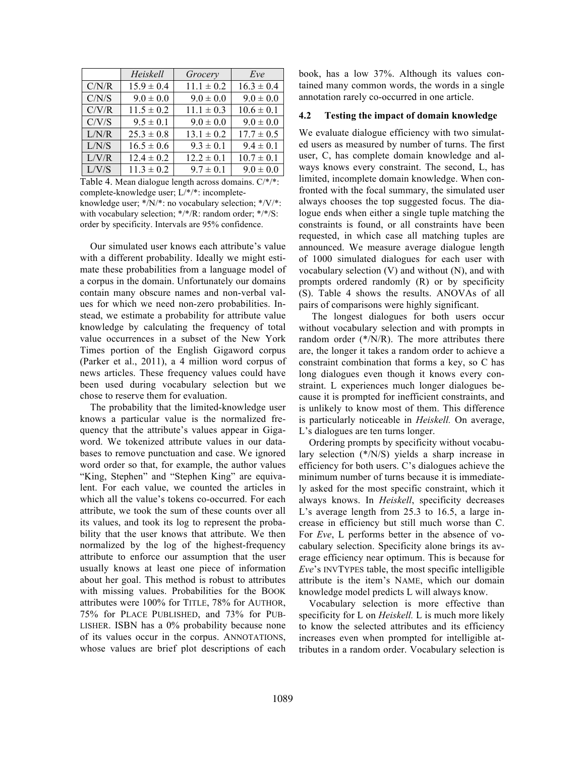|       | Heiskell       | Grocery        | Eve            |
|-------|----------------|----------------|----------------|
| C/N/R | $15.9 \pm 0.4$ | $11.1 \pm 0.2$ | $16.3 \pm 0.4$ |
| C/N/S | $9.0 \pm 0.0$  | $9.0 \pm 0.0$  | $9.0 \pm 0.0$  |
| C/V/R | $11.5 \pm 0.2$ | $11.1 \pm 0.3$ | $10.6 \pm 0.1$ |
| C/V/S | $9.5 \pm 0.1$  | $9.0 \pm 0.0$  | $9.0 \pm 0.0$  |
| L/N/R | $25.3 \pm 0.8$ | $13.1 \pm 0.2$ | $17.7 \pm 0.5$ |
| L/N/S | $16.5 \pm 0.6$ | $9.3 \pm 0.1$  | $9.4 \pm 0.1$  |
| L/V/R | $12.4 \pm 0.2$ | $12.2 \pm 0.1$ | $10.7 \pm 0.1$ |
| L/V/S | $11.3 \pm 0.2$ | $9.7 \pm 0.1$  | $9.0 \pm 0.0$  |

Table 4. Mean dialogue length across domains. C/\*/\*: complete-knowledge user; L/\*/\*: incompleteknowledge user; \*/N/\*: no vocabulary selection; \*/V/\*: with vocabulary selection; \*/\*/R: random order; \*/\*/S: order by specificity. Intervals are 95% confidence.

Our simulated user knows each attribute's value with a different probability. Ideally we might estimate these probabilities from a language model of a corpus in the domain. Unfortunately our domains contain many obscure names and non-verbal values for which we need non-zero probabilities. Instead, we estimate a probability for attribute value knowledge by calculating the frequency of total value occurrences in a subset of the New York Times portion of the English Gigaword corpus (Parker et al., 2011), a 4 million word corpus of news articles. These frequency values could have been used during vocabulary selection but we chose to reserve them for evaluation.

The probability that the limited-knowledge user knows a particular value is the normalized frequency that the attribute's values appear in Gigaword. We tokenized attribute values in our databases to remove punctuation and case. We ignored word order so that, for example, the author values "King, Stephen" and "Stephen King" are equivalent. For each value, we counted the articles in which all the value's tokens co-occurred. For each attribute, we took the sum of these counts over all its values, and took its log to represent the probability that the user knows that attribute. We then normalized by the log of the highest-frequency attribute to enforce our assumption that the user usually knows at least one piece of information about her goal. This method is robust to attributes with missing values. Probabilities for the BOOK attributes were 100% for TITLE, 78% for AUTHOR, 75% for PLACE PUBLISHED, and 73% for PUB-LISHER. ISBN has a 0% probability because none of its values occur in the corpus. ANNOTATIONS, whose values are brief plot descriptions of each book, has a low 37%. Although its values contained many common words, the words in a single annotation rarely co-occurred in one article.

#### **4.2 Testing the impact of domain knowledge**

We evaluate dialogue efficiency with two simulated users as measured by number of turns. The first user, C, has complete domain knowledge and always knows every constraint. The second, L, has limited, incomplete domain knowledge. When confronted with the focal summary, the simulated user always chooses the top suggested focus. The dialogue ends when either a single tuple matching the constraints is found, or all constraints have been requested, in which case all matching tuples are announced. We measure average dialogue length of 1000 simulated dialogues for each user with vocabulary selection (V) and without (N), and with prompts ordered randomly (R) or by specificity (S). Table 4 shows the results. ANOVAs of all pairs of comparisons were highly significant.

The longest dialogues for both users occur without vocabulary selection and with prompts in random order  $(*/N/R)$ . The more attributes there are, the longer it takes a random order to achieve a constraint combination that forms a key, so C has long dialogues even though it knows every constraint. L experiences much longer dialogues because it is prompted for inefficient constraints, and is unlikely to know most of them. This difference is particularly noticeable in *Heiskell.* On average, L's dialogues are ten turns longer.

Ordering prompts by specificity without vocabulary selection (\*/N/S) yields a sharp increase in efficiency for both users. C's dialogues achieve the minimum number of turns because it is immediately asked for the most specific constraint, which it always knows. In *Heiskell*, specificity decreases L's average length from 25.3 to 16.5, a large increase in efficiency but still much worse than C. For *Eve*, L performs better in the absence of vocabulary selection. Specificity alone brings its average efficiency near optimum. This is because for *Eve*'s INVTYPES table, the most specific intelligible attribute is the item's NAME, which our domain knowledge model predicts L will always know.

Vocabulary selection is more effective than specificity for L on *Heiskell.* L is much more likely to know the selected attributes and its efficiency increases even when prompted for intelligible attributes in a random order. Vocabulary selection is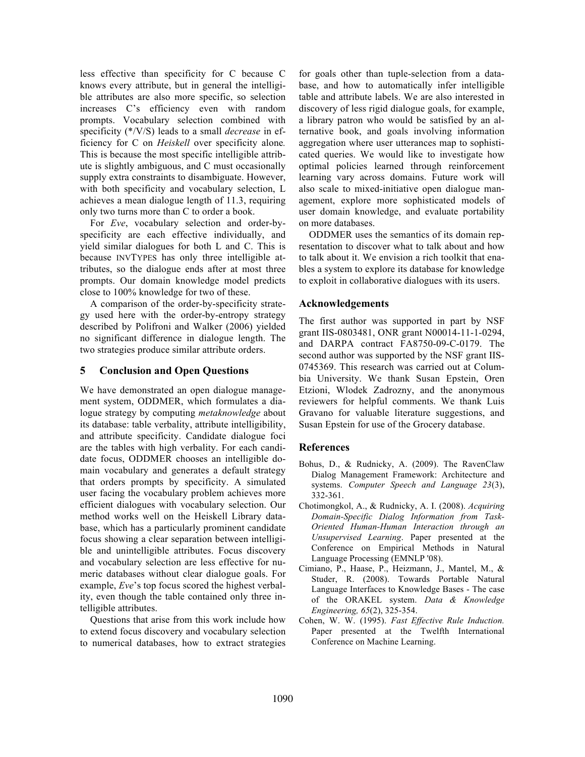less effective than specificity for C because C knows every attribute, but in general the intelligible attributes are also more specific, so selection increases C's efficiency even with random prompts. Vocabulary selection combined with specificity (\*/V/S) leads to a small *decrease* in efficiency for C on *Heiskell* over specificity alone*.* This is because the most specific intelligible attribute is slightly ambiguous, and C must occasionally supply extra constraints to disambiguate. However, with both specificity and vocabulary selection, L achieves a mean dialogue length of 11.3, requiring only two turns more than C to order a book.

For *Eve*, vocabulary selection and order-byspecificity are each effective individually, and yield similar dialogues for both L and C. This is because INVTYPES has only three intelligible attributes, so the dialogue ends after at most three prompts. Our domain knowledge model predicts close to 100% knowledge for two of these.

A comparison of the order-by-specificity strategy used here with the order-by-entropy strategy described by Polifroni and Walker (2006) yielded no significant difference in dialogue length. The two strategies produce similar attribute orders.

# **5 Conclusion and Open Questions**

We have demonstrated an open dialogue management system, ODDMER, which formulates a dialogue strategy by computing *metaknowledge* about its database: table verbality, attribute intelligibility, and attribute specificity. Candidate dialogue foci are the tables with high verbality. For each candidate focus, ODDMER chooses an intelligible domain vocabulary and generates a default strategy that orders prompts by specificity. A simulated user facing the vocabulary problem achieves more efficient dialogues with vocabulary selection. Our method works well on the Heiskell Library database, which has a particularly prominent candidate focus showing a clear separation between intelligible and unintelligible attributes. Focus discovery and vocabulary selection are less effective for numeric databases without clear dialogue goals. For example, *Eve*'s top focus scored the highest verbality, even though the table contained only three intelligible attributes.

Questions that arise from this work include how to extend focus discovery and vocabulary selection to numerical databases, how to extract strategies for goals other than tuple-selection from a database, and how to automatically infer intelligible table and attribute labels. We are also interested in discovery of less rigid dialogue goals, for example, a library patron who would be satisfied by an alternative book, and goals involving information aggregation where user utterances map to sophisticated queries. We would like to investigate how optimal policies learned through reinforcement learning vary across domains. Future work will also scale to mixed-initiative open dialogue management, explore more sophisticated models of user domain knowledge, and evaluate portability on more databases.

ODDMER uses the semantics of its domain representation to discover what to talk about and how to talk about it. We envision a rich toolkit that enables a system to explore its database for knowledge to exploit in collaborative dialogues with its users.

# **Acknowledgements**

The first author was supported in part by NSF grant IIS-0803481, ONR grant N00014-11-1-0294, and DARPA contract FA8750-09-C-0179. The second author was supported by the NSF grant IIS-0745369. This research was carried out at Columbia University. We thank Susan Epstein, Oren Etzioni, Wlodek Zadrozny, and the anonymous reviewers for helpful comments. We thank Luis Gravano for valuable literature suggestions, and Susan Epstein for use of the Grocery database.

# **References**

- Bohus, D., & Rudnicky, A. (2009). The RavenClaw Dialog Management Framework: Architecture and systems. *Computer Speech and Language 23*(3), 332-361.
- Chotimongkol, A., & Rudnicky, A. I. (2008). *Acquiring Domain-Specific Dialog Information from Task-Oriented Human-Human Interaction through an Unsupervised Learning*. Paper presented at the Conference on Empirical Methods in Natural Language Processing (EMNLP '08).
- Cimiano, P., Haase, P., Heizmann, J., Mantel, M., & Studer, R. (2008). Towards Portable Natural Language Interfaces to Knowledge Bases - The case of the ORAKEL system. *Data & Knowledge Engineering, 65*(2), 325-354.
- Cohen, W. W. (1995). *Fast Effective Rule Induction.* Paper presented at the Twelfth International Conference on Machine Learning.